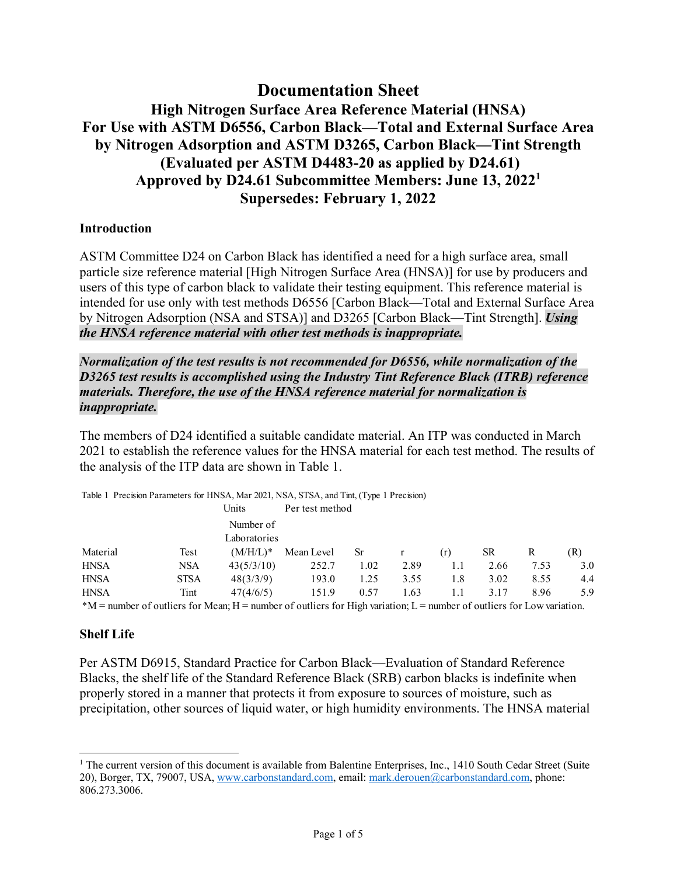# **Documentation Sheet High Nitrogen Surface Area Reference Material (HNSA) For Use with ASTM D6556, Carbon Black—Total and External Surface Area by Nitrogen Adsorption and ASTM D3265, Carbon Black—Tint Strength (Evaluated per ASTM D4483-20 as applied by D24.61) Approved by D24.61 Subcommittee Members: June 13, 2022<sup>1</sup> Supersedes: February 1, 2022**

# **Introduction**

ASTM Committee D24 on Carbon Black has identified a need for a high surface area, small particle size reference material [High Nitrogen Surface Area (HNSA)] for use by producers and users of this type of carbon black to validate their testing equipment. This reference material is intended for use only with test methods D6556 [Carbon Black—Total and External Surface Area by Nitrogen Adsorption (NSA and STSA)] and D3265 [Carbon Black—Tint Strength]. *Using the HNSA reference material with other test methods is inappropriate.*

# *Normalization of the test results is not recommended for D6556, while normalization of the D3265 test results is accomplished using the Industry Tint Reference Black (ITRB) reference materials. Therefore, the use of the HNSA reference material for normalization is inappropriate.*

The members of D24 identified a suitable candidate material. An ITP was conducted in March 2021 to establish the reference values for the HNSA material for each test method. The results of the analysis of the ITP data are shown in Table 1.

| Table 1 Precision Parameters for HNSA, Mar 2021, NSA, STSA, and Tint, (Type 1 Precision) |             |              |                 |      |      |     |      |      |     |  |  |
|------------------------------------------------------------------------------------------|-------------|--------------|-----------------|------|------|-----|------|------|-----|--|--|
|                                                                                          |             | Units        | Per test method |      |      |     |      |      |     |  |  |
|                                                                                          |             | Number of    |                 |      |      |     |      |      |     |  |  |
|                                                                                          |             | Laboratories |                 |      |      |     |      |      |     |  |  |
| Material                                                                                 | Test        | $(M/H/L)^*$  | Mean Level      | Sr   |      | (r) | SR.  | R    | (R) |  |  |
| <b>HNSA</b>                                                                              | <b>NSA</b>  | 43(5/3/10)   | 252.7           | 1.02 | 2.89 | 1.1 | 2.66 | 7.53 | 3.0 |  |  |
| <b>HNSA</b>                                                                              | <b>STSA</b> | 48(3/3/9)    | 193.0           | 1.25 | 3.55 | 1.8 | 3.02 | 8.55 | 4.4 |  |  |
| <b>HNSA</b>                                                                              | Tint        | 47(4/6/5)    | 151.9           | 0.57 | 1.63 | 1.1 | 3.17 | 8.96 | 5.9 |  |  |
| with the attention the attention to the attention of the second control $\mathcal{A}$    |             |              |                 |      |      |     |      |      |     |  |  |

 $*M$  = number of outliers for Mean; H = number of outliers for High variation; L = number of outliers for Low variation.

#### **Shelf Life**

Per ASTM D6915, Standard Practice for Carbon Black—Evaluation of Standard Reference Blacks, the shelf life of the Standard Reference Black (SRB) carbon blacks is indefinite when properly stored in a manner that protects it from exposure to sources of moisture, such as precipitation, other sources of liquid water, or high humidity environments. The HNSA material

<sup>&</sup>lt;sup>1</sup> The current version of this document is available from Balentine Enterprises, Inc., 1410 South Cedar Street (Suite 20), Borger, TX, 79007, USA, www.carbonstandard.com, email: mark.derouen@carbonstandard.com, phone: 806.273.3006.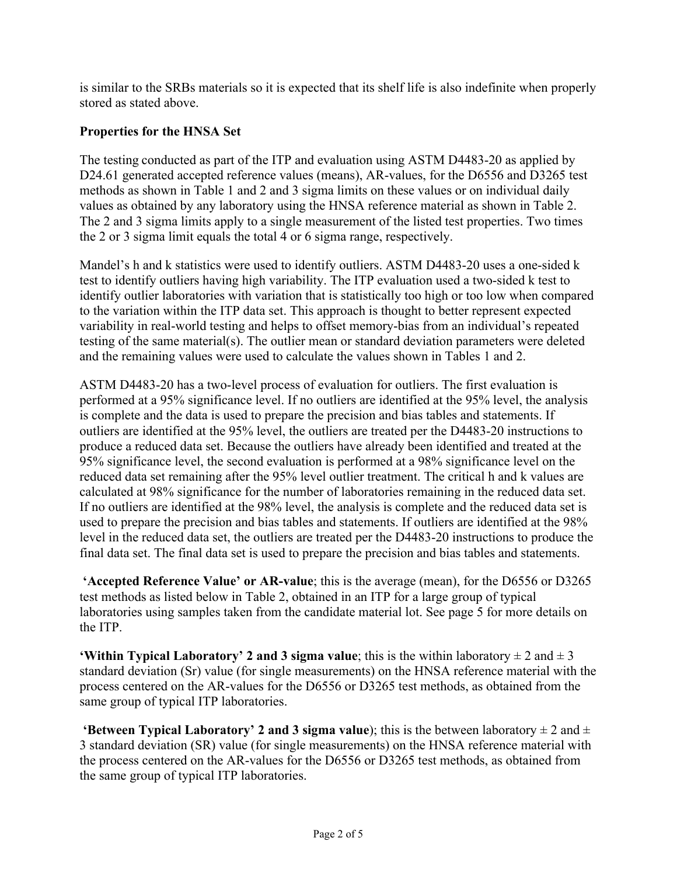is similar to the SRBs materials so it is expected that its shelf life is also indefinite when properly stored as stated above.

# **Properties for the HNSA Set**

The testing conducted as part of the ITP and evaluation using ASTM D4483-20 as applied by D24.61 generated accepted reference values (means), AR-values, for the D6556 and D3265 test methods as shown in Table 1 and 2 and 3 sigma limits on these values or on individual daily values as obtained by any laboratory using the HNSA reference material as shown in Table 2. The 2 and 3 sigma limits apply to a single measurement of the listed test properties. Two times the 2 or 3 sigma limit equals the total 4 or 6 sigma range, respectively.

Mandel's h and k statistics were used to identify outliers. ASTM D4483-20 uses a one-sided k test to identify outliers having high variability. The ITP evaluation used a two-sided k test to identify outlier laboratories with variation that is statistically too high or too low when compared to the variation within the ITP data set. This approach is thought to better represent expected variability in real-world testing and helps to offset memory-bias from an individual's repeated testing of the same material(s). The outlier mean or standard deviation parameters were deleted and the remaining values were used to calculate the values shown in Tables 1 and 2.

ASTM D4483-20 has a two-level process of evaluation for outliers. The first evaluation is performed at a 95% significance level. If no outliers are identified at the 95% level, the analysis is complete and the data is used to prepare the precision and bias tables and statements. If outliers are identified at the 95% level, the outliers are treated per the D4483-20 instructions to produce a reduced data set. Because the outliers have already been identified and treated at the 95% significance level, the second evaluation is performed at a 98% significance level on the reduced data set remaining after the 95% level outlier treatment. The critical h and k values are calculated at 98% significance for the number of laboratories remaining in the reduced data set. If no outliers are identified at the 98% level, the analysis is complete and the reduced data set is used to prepare the precision and bias tables and statements. If outliers are identified at the 98% level in the reduced data set, the outliers are treated per the D4483-20 instructions to produce the final data set. The final data set is used to prepare the precision and bias tables and statements.

 **'Accepted Reference Value' or AR-value**; this is the average (mean), for the D6556 or D3265 test methods as listed below in Table 2, obtained in an ITP for a large group of typical laboratories using samples taken from the candidate material lot. See page 5 for more details on the ITP.

**'Within Typical Laboratory' 2 and 3 sigma value**; this is the within laboratory  $\pm 2$  and  $\pm 3$ standard deviation (Sr) value (for single measurements) on the HNSA reference material with the process centered on the AR-values for the D6556 or D3265 test methods, as obtained from the same group of typical ITP laboratories.

**'Between Typical Laboratory' 2 and 3 sigma value**); this is the between laboratory  $\pm 2$  and  $\pm$ 3 standard deviation (SR) value (for single measurements) on the HNSA reference material with the process centered on the AR-values for the D6556 or D3265 test methods, as obtained from the same group of typical ITP laboratories.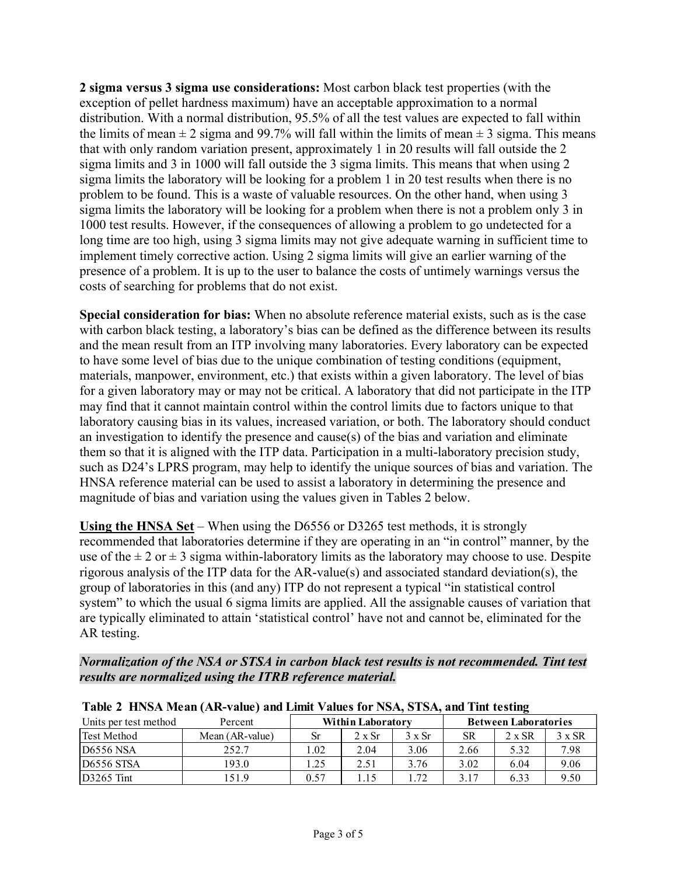**2 sigma versus 3 sigma use considerations:** Most carbon black test properties (with the exception of pellet hardness maximum) have an acceptable approximation to a normal distribution. With a normal distribution, 95.5% of all the test values are expected to fall within the limits of mean  $\pm 2$  sigma and 99.7% will fall within the limits of mean  $\pm 3$  sigma. This means that with only random variation present, approximately 1 in 20 results will fall outside the 2 sigma limits and 3 in 1000 will fall outside the 3 sigma limits. This means that when using 2 sigma limits the laboratory will be looking for a problem 1 in 20 test results when there is no problem to be found. This is a waste of valuable resources. On the other hand, when using 3 sigma limits the laboratory will be looking for a problem when there is not a problem only 3 in 1000 test results. However, if the consequences of allowing a problem to go undetected for a long time are too high, using 3 sigma limits may not give adequate warning in sufficient time to implement timely corrective action. Using 2 sigma limits will give an earlier warning of the presence of a problem. It is up to the user to balance the costs of untimely warnings versus the costs of searching for problems that do not exist.

**Special consideration for bias:** When no absolute reference material exists, such as is the case with carbon black testing, a laboratory's bias can be defined as the difference between its results and the mean result from an ITP involving many laboratories. Every laboratory can be expected to have some level of bias due to the unique combination of testing conditions (equipment, materials, manpower, environment, etc.) that exists within a given laboratory. The level of bias for a given laboratory may or may not be critical. A laboratory that did not participate in the ITP may find that it cannot maintain control within the control limits due to factors unique to that laboratory causing bias in its values, increased variation, or both. The laboratory should conduct an investigation to identify the presence and cause(s) of the bias and variation and eliminate them so that it is aligned with the ITP data. Participation in a multi-laboratory precision study, such as D24's LPRS program, may help to identify the unique sources of bias and variation. The HNSA reference material can be used to assist a laboratory in determining the presence and magnitude of bias and variation using the values given in Tables 2 below.

**Using the HNSA Set** – When using the D6556 or D3265 test methods, it is strongly recommended that laboratories determine if they are operating in an "in control" manner, by the use of the  $\pm 2$  or  $\pm 3$  sigma within-laboratory limits as the laboratory may choose to use. Despite rigorous analysis of the ITP data for the AR-value(s) and associated standard deviation(s), the group of laboratories in this (and any) ITP do not represent a typical "in statistical control system" to which the usual 6 sigma limits are applied. All the assignable causes of variation that are typically eliminated to attain 'statistical control' have not and cannot be, eliminated for the AR testing.

*Normalization of the NSA or STSA in carbon black test results is not recommended. Tint test results are normalized using the ITRB reference material.* 

| <b>THE TEXT IN THE BUILDING CONTRACT AND THE VALUES TOL</b> TYPING STOLE AND THIS ISSUED. |                          |      |               |                             |           |               |               |  |  |  |  |  |
|-------------------------------------------------------------------------------------------|--------------------------|------|---------------|-----------------------------|-----------|---------------|---------------|--|--|--|--|--|
| Units per test method                                                                     | <b>Within Laboratory</b> |      |               | <b>Between Laboratories</b> |           |               |               |  |  |  |  |  |
| <b>Test Method</b>                                                                        | Mean (AR-value)          | Sr   | $2 \times Sr$ | $3 \times Sr$               | <b>SR</b> | $2 \times SR$ | $3 \times SR$ |  |  |  |  |  |
| $D6556$ NSA                                                                               | 252.7                    | 1.02 | 2.04          | 3.06                        | 2.66      | 5.32          | 7.98          |  |  |  |  |  |
| <b>D6556 STSA</b>                                                                         | 193.0                    | l.25 | 2.51          | 3.76                        | 3.02      | 6.04          | 9.06          |  |  |  |  |  |
| $D3265$ Tint                                                                              | 151.9                    | 0.57 | 1.15          | 1.72                        | 3.17      | 6.33          | 9.50          |  |  |  |  |  |

**Table 2 HNSA Mean (AR-value) and Limit Values for NSA, STSA, and Tint testing**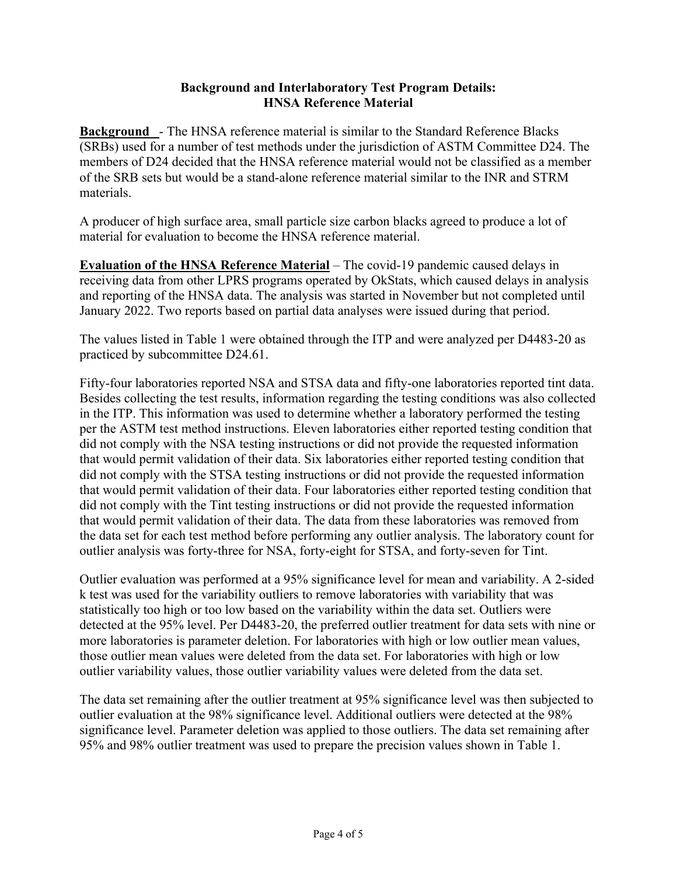# **Background and Interlaboratory Test Program Details: HNSA Reference Material**

**Background** - The HNSA reference material is similar to the Standard Reference Blacks (SRBs) used for a number of test methods under the jurisdiction of ASTM Committee D24. The members of D24 decided that the HNSA reference material would not be classified as a member of the SRB sets but would be a stand-alone reference material similar to the INR and STRM materials.

A producer of high surface area, small particle size carbon blacks agreed to produce a lot of material for evaluation to become the HNSA reference material.

**Evaluation of the HNSA Reference Material** – The covid-19 pandemic caused delays in receiving data from other LPRS programs operated by OkStats, which caused delays in analysis and reporting of the HNSA data. The analysis was started in November but not completed until January 2022. Two reports based on partial data analyses were issued during that period.

The values listed in Table 1 were obtained through the ITP and were analyzed per D4483-20 as practiced by subcommittee D24.61.

Fifty-four laboratories reported NSA and STSA data and fifty-one laboratories reported tint data. Besides collecting the test results, information regarding the testing conditions was also collected in the ITP. This information was used to determine whether a laboratory performed the testing per the ASTM test method instructions. Eleven laboratories either reported testing condition that did not comply with the NSA testing instructions or did not provide the requested information that would permit validation of their data. Six laboratories either reported testing condition that did not comply with the STSA testing instructions or did not provide the requested information that would permit validation of their data. Four laboratories either reported testing condition that did not comply with the Tint testing instructions or did not provide the requested information that would permit validation of their data. The data from these laboratories was removed from the data set for each test method before performing any outlier analysis. The laboratory count for outlier analysis was forty-three for NSA, forty-eight for STSA, and forty-seven for Tint.

Outlier evaluation was performed at a 95% significance level for mean and variability. A 2-sided k test was used for the variability outliers to remove laboratories with variability that was statistically too high or too low based on the variability within the data set. Outliers were detected at the 95% level. Per D4483-20, the preferred outlier treatment for data sets with nine or more laboratories is parameter deletion. For laboratories with high or low outlier mean values, those outlier mean values were deleted from the data set. For laboratories with high or low outlier variability values, those outlier variability values were deleted from the data set.

The data set remaining after the outlier treatment at 95% significance level was then subjected to outlier evaluation at the 98% significance level. Additional outliers were detected at the 98% significance level. Parameter deletion was applied to those outliers. The data set remaining after 95% and 98% outlier treatment was used to prepare the precision values shown in Table 1.